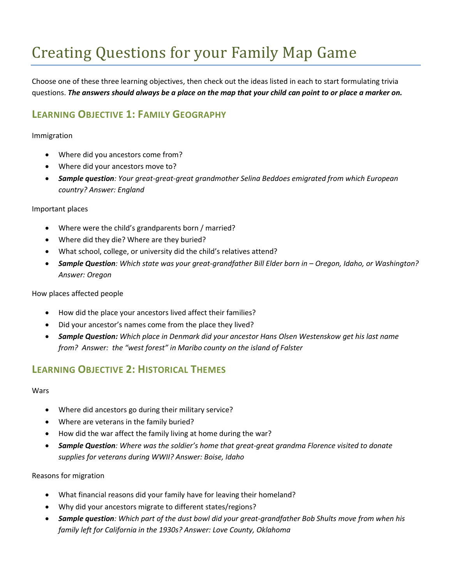# Creating Questions for your Family Map Game

Choose one of these three learning objectives, then check out the ideas listed in each to start formulating trivia questions. *The answers should always be a place on the map that your child can point to or place a marker on.*

# **LEARNING OBJECTIVE 1: FAMILY GEOGRAPHY**

#### Immigration

- Where did you ancestors come from?
- Where did your ancestors move to?
- *Sample question: Your great-great-great grandmother Selina Beddoes emigrated from which European country? Answer: England*

## Important places

- Where were the child's grandparents born / married?
- Where did they die? Where are they buried?
- What school, college, or university did the child's relatives attend?
- *Sample Question: Which state was your great-grandfather Bill Elder born in – Oregon, Idaho, or Washington? Answer: Oregon*

## How places affected people

- How did the place your ancestors lived affect their families?
- Did your ancestor's names come from the place they lived?
- *Sample Question: Which place in Denmark did your ancestor Hans Olsen Westenskow get his last name from? Answer: the "west forest" in Maribo county on the island of Falster*

# **LEARNING OBJECTIVE 2: HISTORICAL THEMES**

#### **Wars**

- Where did ancestors go during their military service?
- Where are veterans in the family buried?
- How did the war affect the family living at home during the war?
- *Sample Question: Where was the soldier's home that great-great grandma Florence visited to donate supplies for veterans during WWII? Answer: Boise, Idaho*

## Reasons for migration

- What financial reasons did your family have for leaving their homeland?
- Why did your ancestors migrate to different states/regions?
- *Sample question: Which part of the dust bowl did your great-grandfather Bob Shults move from when his family left for California in the 1930s? Answer: Love County, Oklahoma*